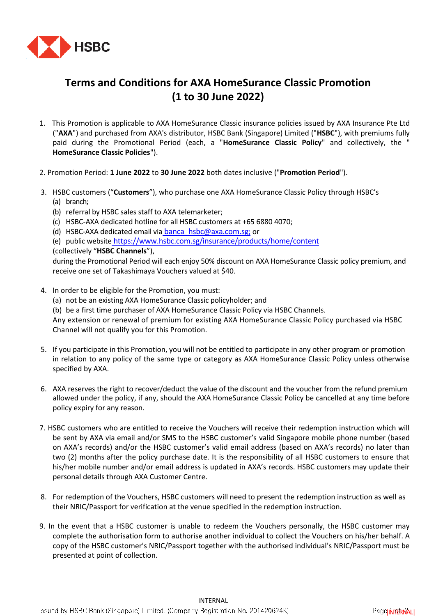

## **Terms and Conditions for AXA HomeSurance Classic Promotion (1 to 30 June 2022)**

- 1. This Promotion is applicable to AXA HomeSurance Classic insurance policies issued by AXA Insurance Pte Ltd ("**AXA**") and purchased from AXA's distributor, HSBC Bank (Singapore) Limited ("**HSBC**"), with premiums fully paid during the Promotional Period (each, a "**HomeSurance Classic Policy**" and collectively, the " **HomeSurance Classic Policies**").
- 2. Promotion Period: **1 June 2022** to **30 June 2022** both dates inclusive ("**Promotion Period**").
- 3. HSBC customers ("**Customers**"), who purchase one AXA HomeSurance Classic Policy through HSBC's (a) branch;
	- (b) referral by HSBC sales staff to AXA telemarketer;
	- (c) HSBC-AXA dedicated hotline for all HSBC customers at +65 6880 4070;
	- (d) HSBC-AXA dedicated email via [banca\\_hsbc@axa.com.sg](mailto:banca_hsbc@axa.com.sg); or
	- (e) public website <https://www.hsbc.com.sg/insurance/products/home/content>
	- (collectively "**HSBC Channels**"),

during the Promotional Period will each enjoy 50% discount on AXA HomeSurance Classic policy premium, and receive one set of Takashimaya Vouchers valued at \$40.

- 4. In order to be eligible for the Promotion, you must:
	- (a) not be an existing AXA HomeSurance Classic policyholder; and
	- (b) be a first time purchaser of AXA HomeSurance Classic Policy via HSBC Channels.

Any extension or renewal of premium for existing AXA HomeSurance Classic Policy purchased via HSBC Channel will not qualify you for this Promotion.

- 5. If you participate in this Promotion, you will not be entitled to participate in any other program or promotion in relation to any policy of the same type or category as AXA HomeSurance Classic Policy unless otherwise specified by AXA.
- 6. AXA reserves the right to recover/deduct the value of the discount and the voucher from the refund premium allowed under the policy, if any, should the AXA HomeSurance Classic Policy be cancelled at any time before policy expiry for any reason.
- 7. HSBC customers who are entitled to receive the Vouchers will receive their redemption instruction which will be sent by AXA via email and/or SMS to the HSBC customer's valid Singapore mobile phone number (based on AXA's records) and/or the HSBC customer's valid email address (based on AXA's records) no later than two (2) months after the policy purchase date. It is the responsibility of all HSBC customers to ensure that his/her mobile number and/or email address is updated in AXA's records. HSBC customers may update their personal details through AXA Customer Centre.
- 8. For redemption of the Vouchers, HSBC customers will need to present the redemption instruction as well as their NRIC/Passport for verification at the venue specified in the redemption instruction.
- 9. In the event that a HSBC customer is unable to redeem the Vouchers personally, the HSBC customer may complete the authorisation form to authorise another individual to collect the Vouchers on his/her behalf. A copy of the HSBC customer's NRIC/Passport together with the authorised individual's NRIC/Passport must be presented at point of collection.